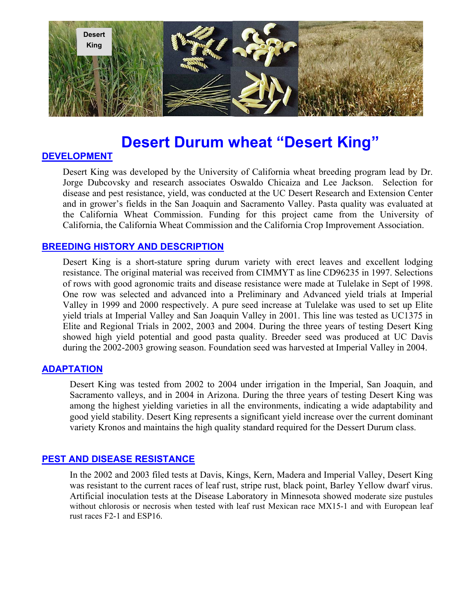

# **Desert Durum wheat "Desert King"**

# **DEVELOPMENT**

Desert King was developed by the University of California wheat breeding program lead by Dr. Jorge Dubcovsky and research associates Oswaldo Chicaiza and Lee Jackson. Selection for disease and pest resistance, yield, was conducted at the UC Desert Research and Extension Center and in grower's fields in the San Joaquin and Sacramento Valley. Pasta quality was evaluated at the California Wheat Commission. Funding for this project came from the University of California, the California Wheat Commission and the California Crop Improvement Association.

# **BREEDING HISTORY AND DESCRIPTION**

Desert King is a short-stature spring durum variety with erect leaves and excellent lodging resistance. The original material was received from CIMMYT as line CD96235 in 1997. Selections of rows with good agronomic traits and disease resistance were made at Tulelake in Sept of 1998. One row was selected and advanced into a Preliminary and Advanced yield trials at Imperial Valley in 1999 and 2000 respectively. A pure seed increase at Tulelake was used to set up Elite yield trials at Imperial Valley and San Joaquin Valley in 2001. This line was tested as UC1375 in Elite and Regional Trials in 2002, 2003 and 2004. During the three years of testing Desert King showed high yield potential and good pasta quality. Breeder seed was produced at UC Davis during the 2002-2003 growing season. Foundation seed was harvested at Imperial Valley in 2004.

#### **ADAPTATION**

Desert King was tested from 2002 to 2004 under irrigation in the Imperial, San Joaquin, and Sacramento valleys, and in 2004 in Arizona. During the three years of testing Desert King was among the highest yielding varieties in all the environments, indicating a wide adaptability and good yield stability. Desert King represents a significant yield increase over the current dominant variety Kronos and maintains the high quality standard required for the Dessert Durum class.

#### **PEST AND DISEASE RESISTANCE**

In the 2002 and 2003 filed tests at Davis, Kings, Kern, Madera and Imperial Valley, Desert King was resistant to the current races of leaf rust, stripe rust, black point, Barley Yellow dwarf virus. Artificial inoculation tests at the Disease Laboratory in Minnesota showed moderate size pustules without chlorosis or necrosis when tested with leaf rust Mexican race MX15-1 and with European leaf rust races F2-1 and ESP16.